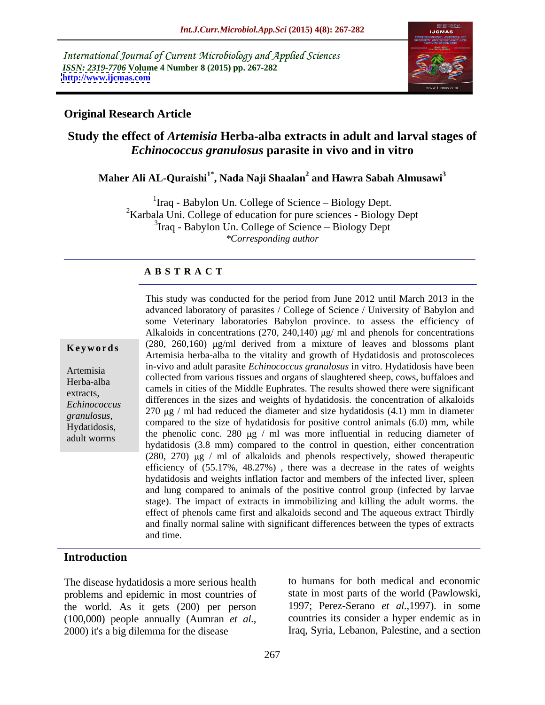International Journal of Current Microbiology and Applied Sciences *ISSN: 2319-7706* **Volume 4 Number 8 (2015) pp. 267-282 <http://www.ijcmas.com>**



## **Original Research Article**

## **Study the effect of** *Artemisia* **Herba-alba extracts in adult and larval stages of**  *Echinococcus granulosus* **parasite in vivo and in vitro**

## **Maher Ali AL-Quraishi1\* , Nada Naji Shaalan<sup>2</sup> and Hawra Sabah Almusawi<sup>3</sup>**

 ${}^{1}$ Iraq - Babylon Un. College of Science – Biology Dept. <sup>2</sup>Karbala Uni. College of education for pure sciences - Biology Dept  $3$ Iraq - Babylon Un. College of Science – Biology Dept *\*Corresponding author*

## **A B S T R A C T**

adult worms

This study was conducted for the period from June 2012 until March 2013 in the advanced laboratory of parasites / College of Science / University of Babylon and some Veterinary laboratories Babylon province. to assess the efficiency of Alkaloids in concentrations (270, 240,140)  $\mu$ g/ ml and phenols for concentrations **Keywords**  $(280, 260, 160)$   $\mu$ g/ml derived from a mixture of leaves and blossoms plant Artemisia herba-alba to the vitality and growth of Hydatidosis and protoscoleces in-vivo and adult parasite *Echinococcus granulosus* in vitro. Hydatidosis have been Artemisia collected from various tissues and organs of slaughtered sheep, cows, buffaloes and Herba-alba extracts,<br>
extracts,<br>
extracts,<br>
extracts,<br>
extracts,<br>
extracts,<br>
extracts,<br>
extracts,<br>
extracts,<br>
extracts,<br>
extracts,<br>
extract in the state of the state of the state of the state of the state of the state of the state of differences in the sizes and weights of hydatidosis. the concentration of alkaloids *Echinococcus*   $\frac{270 \text{ µg}}{m}$  had reduced the diameter and size hydatidosis  $(4.1)$  mm in diameter granulosus, compared to the size of hydatidosis for positive control animals (6.0) mm, while Hydatidosis, the phenolic conc. 280  $\mu$ g / ml was more influential in reducing diameter of hydatidosis (3.8 mm) compared to the control in question, either concentration (280, 270)  $\mu$ g / ml of alkaloids and phenols respectively, showed therapeutic efficiency of (55.17%, 48.27%) , there was a decrease in the rates of weights hydatidosis and weights inflation factor and members of the infected liver, spleen and lung compared to animals of the positive control group (infected by larvae stage). The impact of extracts in immobilizing and killing the adult worms. the effect of phenols came first and alkaloids second and The aqueous extract Thirdly and finally normal saline with significant differences between the types of extracts and time.

## **Introduction**

The disease hydatidosis a more serious health problems and epidemic in most countries of the world. As it gets (200) per person (100,000) people annually (Aumran *et al.*, countries its consider a hyper endemic as in 2000) it's a big dilemma for the disease Iraq, Syria, Lebanon, Palestine, and a section

to humans for both medical and economic state in most parts of the world (Pawlowski, 1997; Perez-Serano *et al.*,1997). in some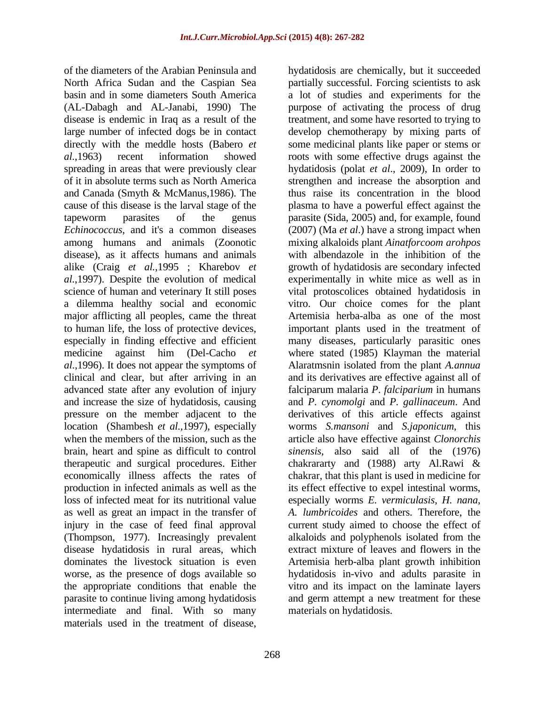of the diameters of the Arabian Peninsula and hydatidosis are chemically, but it succeeded North Africa Sudan and the Caspian Sea partially successful. Forcing scientists to ask basin and in some diameters South America a lot of studies and experiments for the (AL-Dabagh and AL-Janabi, 1990) The purpose of activating the process of drug disease is endemic in Iraq as a result of the large number of infected dogs be in contact develop chemotherapy by mixing parts of directly with the meddle hosts (Babero *et*  some medicinal plants like paper or stems or *al.*,1963) recent information showed roots with some effective drugs against the spreading in areas that were previously clear hydatidosis (polat *et al*., 2009), In order to of it in absolute terms such as North America strengthen and increase the absorption and and Canada (Smyth & McManus,1986). The cause of this disease is the larval stage of the plasma to have a powerful effect against the tapeworm parasites of the genus parasite (Sida, 2005) and, for example, found *Echinococcus*, and it's a common diseases (2007) (Ma *et al*.) have a strong impact when among humans and animals (Zoonotic mixing alkaloids plant *Ainatforcoom arohpos* disease), as it affects humans and animals with albendazole in the inhibition of the alike (Craig *et al.*,1995 ; Kharebov *et al.*,1997). Despite the evolution of medical science of human and veterinary It still poses vital protoscolices obtained hydatidosis in a dilemma healthy social and economic vitro. Our choice comes for the plant major afflicting all peoples, came the threat to human life, the loss of protective devices, important plants used in the treatment of especially in finding effective and efficient many diseases, particularly parasitic ones medicine against him (Del-Cacho *et* where stated (1985) Klayman the material *al*.,1996). It does not appear the symptoms of clinical and clear, but after arriving in an and itsderivatives are effective against all of advanced state after any evolution of injury falciparum malaria *P*. *falciparium* in humans and increase the size of hydatidosis, causing and *P.cynomolgi* and *P. gallinaceum*. And pressure on the member adjacent to the derivatives of this article effects against location (Shambesh *et al.,*1997), especially worms *S.mansoni* and *S.japonicum*, this when the members of the mission, such as the article also have effective against *Clonorchis* brain, heart and spine as difficult to control *sinensis*, also said all of the (1976) therapeutic and surgical procedures. Either chakrararty and (1988) arty Al.Rawi & economically illness affects the rates of chakrar, that this plant is used in medicine for production in infected animals as well as the its effect effective to expel intestinal worms, loss of infected meat for its nutritional value especially worms *E. vermiculasis*, *H. nana*, as well as great an impact in the transfer of *A. lumbricoides* and others. Therefore, the injury in the case of feed final approval current study aimed to choose the effect of (Thompson, 1977). Increasingly prevalent alkaloids and polyphenols isolated from the disease hydatidosis in rural areas, which dominates the livestock situation is even Artemisia herb-alba plant growth inhibition worse, as the presence of dogs available so hydatidosis in-vivo and adults parasite in the appropriate conditions that enable the vitro and its impact on the laminate layers parasite to continue living among hydatidosis and germ attempt a new treatment for these intermediate and final. With so many materials used in the treatment of disease,

treatment, and some have resorted to trying to thus raise its concentration in the blood growth of hydatidosis are secondary infected experimentally in white mice as well as in Artemisia herba-alba as one of the most Alaratmsnin isolated from the plant *A.annua* extract mixture of leaves and flowers in the materials on hydatidosis.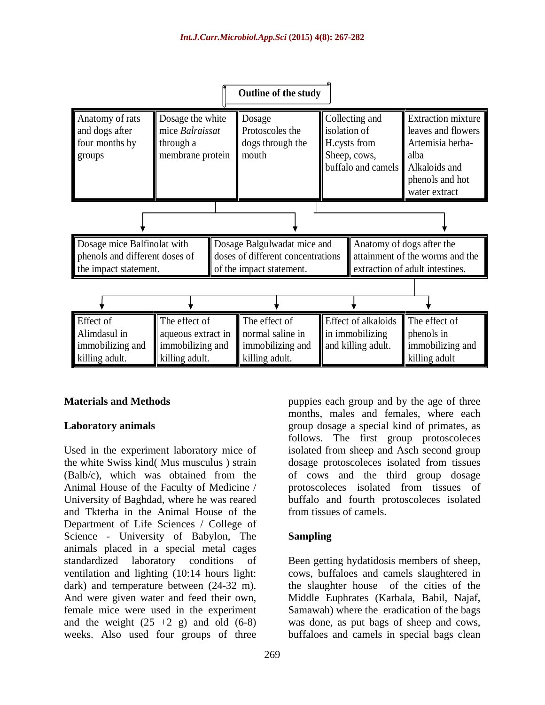

Used in the experiment laboratory mice of isolated from sheep and Asch second group the white Swiss kind( Mus musculus ) strain dosage protoscoleces isolated from tissues (Balb/c), which was obtained from the of cows and the third group dosage Animal House of the Faculty of Medicine / protoscoleces isolated from tissues of University of Baghdad, where he was reared and Tkterha in the Animal House of the Department of Life Sciences / College of Science - University of Babylon, The Sampling animals placed in a special metal cages standardized laboratory conditions of Been getting hydatidosis members of sheep, ventilation and lighting (10:14 hours light: cows, buffaloes and camels slaughtered in dark) and temperature between (24-32 m). the slaughter house of the cities of the And were given water and feed their own, Middle Euphrates (Karbala, Babil, Najaf, female mice were used in the experiment Samawah) where the eradication of the bags and the weight (25 +2 g) and old (6-8) was done, as put bags of sheep and cows, weeks. Also used four groups of three buffaloes and camels in special bags clean

**Materials and Methods Example 1 puppies each group and by the age of three Laboratory animals** extending the strong group dosage a special kind of primates, as months, males and females, where each follows. The first group protoscoleces protoscoleces isolated from tissues of buffalo and fourth protoscoleces isolated from tissues of camels.

## **Sampling**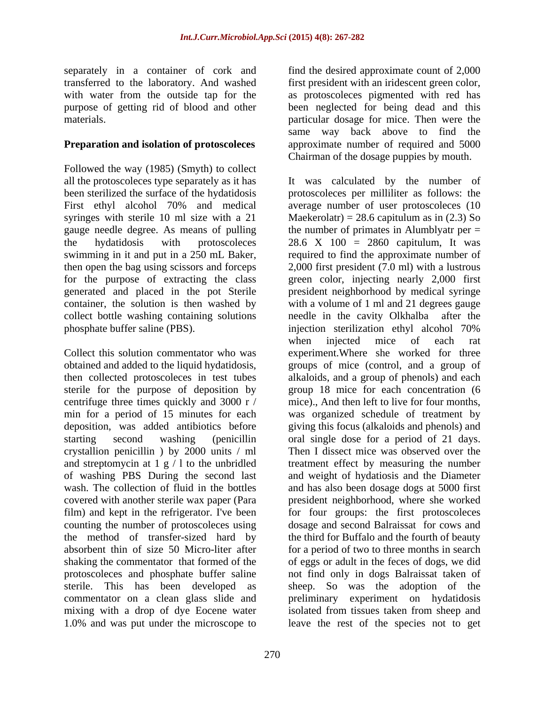## **Preparation and isolation of protoscoleces**

Followed the way (1985) (Smyth) to collect phosphate buffer saline (PBS). injection sterilization ethyl alcohol 70%

then collected protoscoleces in test tubes sterile for the purpose of deposition by centrifuge three times quickly and 3000 r / min for a period of 15 minutes for each crystallion penicillin ) by 2000 units / ml and streptomycin at  $1 \text{ g} / 1$  to the unbridled 1.0% and was put under the microscope to leave the rest of the species not to get

separately in a container of cork and find the desired approximate count of 2,000 transferred to the laboratory. And washed first president with an iridescent green color, with water from the outside tap for the as protoscoleces pigmented with red has purpose of getting rid of blood and other been neglected for being dead and this materials. particular dosage for mice. Then were the same way back above to find the approximate number of required and 5000 Chairman of the dosage puppies by mouth.

all the protoscoleces type separately as it has It was calculated by the number of been sterilized the surface of the hydatidosis protoscoleces per milliliter as follows: the First ethyl alcohol 70% and medical average number of user protoscoleces (10 syringes with sterile 10 ml size with a 21 Maekerolatr) = 28.6 capitulum as in (2.3) So gauge needle degree. As means of pulling the number of primates in Alumblyatr per = the hydatidosis with protoscoleces 28.6 X 100 = 2860 capitulum, It was swimming in it and put in a 250 mL Baker, required to find the approximate number of then open the bag using scissors and forceps 2,000 first president (7.0 ml) with a lustrous for the purpose of extracting the class green color, injecting nearly 2,000 first generated and placed in the pot Sterile president neighborhood by medical syringe container, the solution is then washed by with a volume of 1 ml and 21 degrees gauge collect bottle washing containing solutions needle in the cavity Olkhalba after the Collect this solution commentator who was experiment.Where she worked for three obtained and added to the liquid hydatidosis, groups of mice (control, and a group of deposition, was added antibiotics before giving this focus (alkaloids and phenols) and starting second washing (penicillin oral single dose for a period of 21 days. of washing PBS During the second last and weight of hydatiosis and the Diameter wash. The collection of fluid in the bottles and has also been dosage dogs at 5000 first covered with another sterile wax paper (Para president neighborhood, where she worked film) and kept in the refrigerator. I've been for four groups: the first protoscoleces counting the number of protoscoleces using dosage and second Balraissat for cows and the method of transfer-sized hard by the third for Buffalo and the fourth of beauty absorbent thin of size 50 Micro-liter after for a period of two to three months in search shaking the commentator that formed of the of eggs or adult in the feces of dogs, we did protoscoleces and phosphate buffer saline not find only in dogs Balraissat taken of sterile. This has been developed as sheep. So was the adoption of the commentator on a clean glass slide and preliminary experiment on hydatidosis mixing with a drop of dye Eocene water isolated from tissues taken from sheep and injection sterilization ethyl alcohol 70% when injected mice of each rat alkaloids, and a group of phenols) and each group 18 mice for each concentration (6 mice)., And then left to live for four months, was organized schedule of treatment by Then I dissect mice was observed over the treatment effect by measuring the number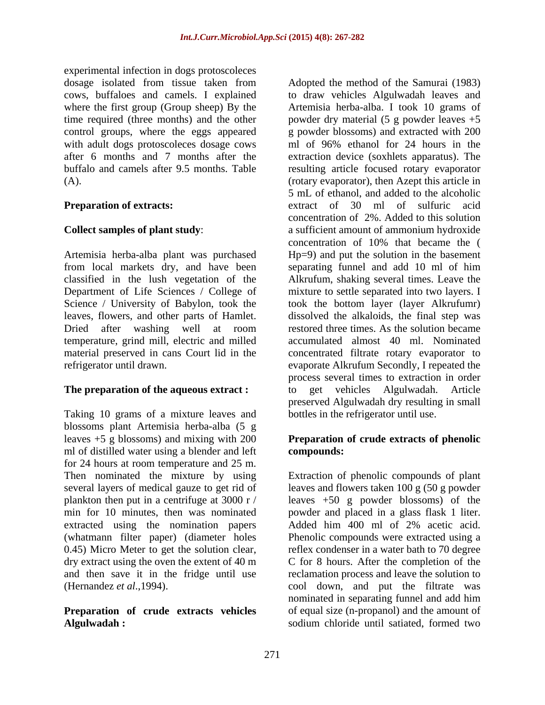experimental infection in dogs protoscoleces control groups, where the eggs appeared with adult dogs protoscoleces dosage cows and of 96% ethanol for 24 hours in the

temperature, grind mill, electric and milled material preserved in cans Court lid in the

Taking 10 grams of a mixture leaves and blossoms plant Artemisia herba-alba (5 g leaves +5 g blossoms) and mixing with 200 **Preparation of crude extracts of phenolic** ml of distilled water using a blender and left **compounds:** for 24 hours at room temperature and 25 m. several layers of medical gauze to get rid of extracted using the nomination papers Added him 400 ml of 2% acetic acid. dry extract using the oven the extent of 40 m and then save it in the fridge until use

## Algulwadah : **Solum chloride until satiated**, formed two

dosage isolated from tissue taken from Adopted the method of the Samurai (1983) cows, buffaloes and camels. I explained to draw vehicles Algulwadah leaves and where the first group (Group sheep) By the Artemisia herba-alba. I took 10 grams of time required (three months) and the other powder dry material (5 g powder leaves +5 after 6 months and 7 months after the extraction device (soxhlets apparatus). The buffalo and camels after 9.5 months. Table resulting article focused rotary evaporator (A). (rotary evaporator), then Azept this article in **Preparation of extracts:** extract of 30 ml of sulfuric acid **Collect samples of plant study:** a sufficient amount of ammonium hydroxide Artemisia herba-alba plant was purchased Hp=9) and put the solution in the basement from local markets dry, and have been separating funnel and add 10 ml of him classified in the lush vegetation of the Alkrufum, shaking several times. Leave the Department of Life Sciences / College of mixture to settle separated into two layers. I Science / University of Babylon, took the took the bottom layer (layer Alkrufumr) leaves, flowers, and other parts of Hamlet. dissolved the alkaloids, the final step was Dried after washing well at room restored three times. As the solution became refrigerator until drawn. evaporate Alkrufum Secondly, I repeated the **The preparation of the aqueous extract :**  $\qquad$  to get vehicles Algulwadah. Article g powder blossoms) and extracted with 200 ml of 96% ethanol for 24 hours in the 5 mL of ethanol, and added to the alcoholic concentration of 2%. Added to this solution concentration of 10% that became the ( accumulated almost 40 ml. Nominated concentrated filtrate rotary evaporator to process several times to extraction in order get vehicles Algulwadah. preserved Algulwadah dry resulting in small bottles in the refrigerator until use.

# **compounds:**

Then nominated the mixture by using Extraction of phenolic compounds of plant plankton then put in a centrifuge at 3000 r / leaves +50 g powder blossoms) of the min for 10 minutes, then was nominated powder and placed in a glass flask 1 liter. (whatmann filter paper) (diameter holes Phenolic compounds were extracted using a 0.45) Micro Meter to get the solution clear, reflex condenser in a water bath to 70 degree (Hernandez *et al*.,1994). cool down, and put the filtrate was **Preparation of crude extracts vehicles** of equal size (n-propanol) and the amount of leaves and flowers taken 100 g (50 g powder Added him 400 ml of 2% acetic acid. C for 8 hours. After the completion of the reclamation process and leave the solution to nominated in separating funnel and add him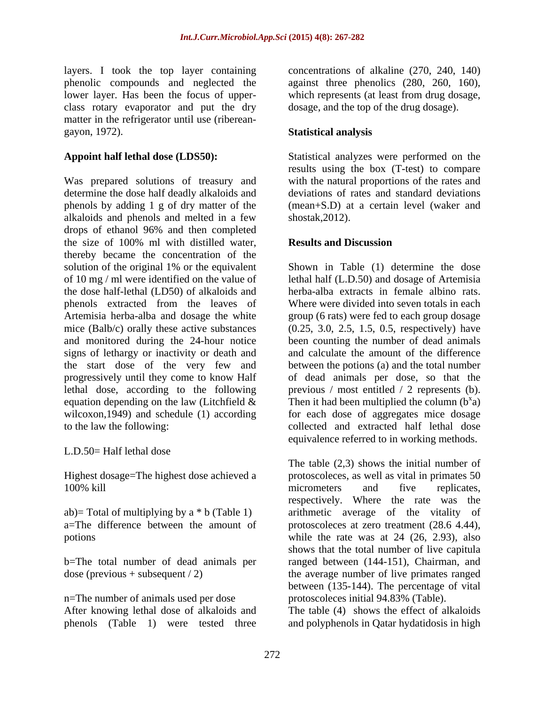class rotary evaporator and put the dry matter in the refrigerator until use (riberean gayon, 1972). **Statistical analysis** 

Was prepared solutions of treasury and determine the dose half deadly alkaloids and phenols by adding 1 g of dry matter of the alkaloids and phenols and melted in a few drops of ethanol 96% and then completed the size of 100% ml with distilled water, **Results and Discussion** thereby became the concentration of the solution of the original 1% or the equivalent Shown in Table (1) determine the dose of 10 mg / ml were identified on the value of lethal half (L.D.50) and dosage of Artemisia the dose half-lethal (LD50) of alkaloids and phenols extracted from the leaves of Artemisia herba-alba and dosage the white group (6 rats) were fed to each group dosage mice (Balb/c) orally these active substances (0.25, 3.0, 2.5, 1.5, 0.5, respectively) have and monitored during the 24-hour notice been counting the number of dead animals signs of lethargy or inactivity or death and the start dose of the very few and progressively until they come to know Half of dead animals per dose, so that the lethal dose, according to the following previous / most entitled / 2 represents (b). equation depending on the law (Litchfield  $\&$  Then it had been multiplied the column ( $b^x$ a) wilcoxon,1949) and schedule (1) according for each dose of aggregates mice dosage

L.D.50= Half lethal dose

Highest dosage=The highest dose achieved a

n=The number of animals used per dose

layers. I took the top layer containing concentrations of alkaline (270, 240, 140) phenolic compounds and neglected the against three phenolics (280, 260, 160), lower layer. Has been the focus of upper- which represents (at least from drug dosage, dosage, and the top of the drug dosage).

**Appoint half lethal dose (LDS50):** Statistical analyzes were performed on the results using the box (T-test) to compare with the natural proportions of the rates and deviations of rates and standard deviations (mean+S.D) at a certain level (waker and shostak,2012).

## **Results and Discussion**

to the law the following: collected and extracted half lethal dose herba-alba extracts in female albino rats. Where were divided into seven totals in each and calculate the amount of the difference between the potions (a) and the total number a) equivalence referred to in working methods.

100% kill micrometers and five replicates, ab)= Total of multiplying by a \* b (Table 1) arithmetic average of the vitality of a=The difference between the amount of protoscoleces at zero treatment (28.6 4.44), potions while the rate was at 24 (26, 2.93), also b=The total number of dead animals per ranged between (144-151), Chairman, and dose (previous + subsequent / 2) the average number of live primates ranged The table (2,3) shows the initial number of protoscoleces, as well as vital in primates 50 micrometers and five replicates, respectively. Where the rate was the shows that the total number of live capitula between (135-144). The percentage of vital protoscoleces initial 94.83% (Table).

After knowing lethal dose of alkaloids and The table (4) shows the effect of alkaloids phenols (Table 1) were tested three and polyphenols in Qatar hydatidosis in high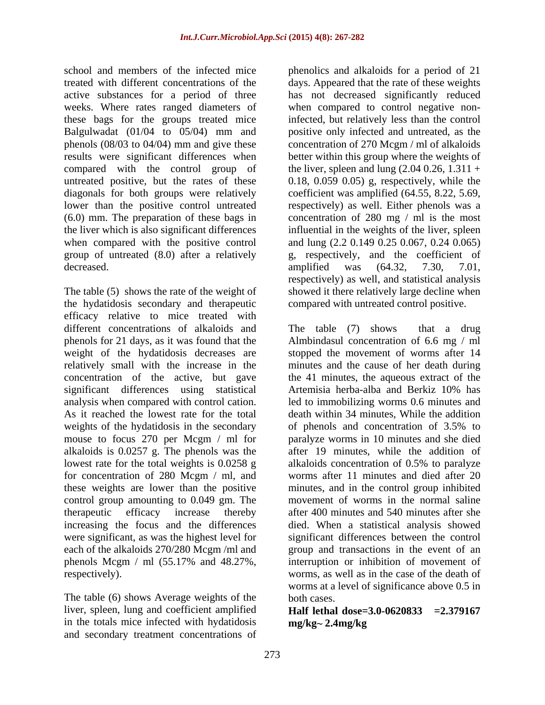weeks. Where rates ranged diameters of Balgulwadat (01/04 to 05/04) mm and

The table (5) shows the rate of the weight of showed it there relatively large decline when the hydatidosis secondary and therapeutic efficacy relative to mice treated with different concentrations of alkaloids and The table (7) shows that a drug phenols for 21 days, as it was found that the Almbindasul concentration of 6.6 mg / ml weight of the hydatidosis decreases are stopped the movement of worms after 14 relatively small with the increase in the minutes and the cause of her death during concentration of the active, but gave significant differences using statistical Artemisia herba-alba and Berkiz 10% has analysis when compared with control cation. led to immobilizing worms 0.6 minutes and As it reached the lowest rate for the total death within 34 minutes, While the addition weights of the hydatidosis in the secondary of phenols and concentration of 3.5% to mouse to focus 270 per Mcgm  $/$  ml for alkaloids is 0.0257 g. The phenols was the alkaloids is 0.0257 g. The phenols was the after 19 minutes, while the addition of lowest rate for the total weights is 0.0258 g alkaloids concentration of 0.5% to paralyze for concentration of 280 Mcgm / ml, and these weights are lower than the positive minutes, and in the control group inhibited control group amounting to 0.049 gm. The movement of worms in the normal saline therapeutic efficacy increase thereby after 400 minutes and 540 minutes aftershe increasing the focus and the differences died. When a statistical analysis showed were significant, as was the highest level for significant differences between the control each of the alkaloids 270/280 Mcgm /ml and phenols Mcgm / ml (55.17% and 48.27%,

The table (6) shows Average weights of the both cases. liver, spleen, lung and coefficient amplified in the totals mice infected with hydatidosis and secondary treatment concentrations of

school and members of the infected mice phenolics and alkaloids for a period of 21 treated with different concentrations of the days. Appeared that the rate of these weights active substances for a period of three has not decreased significantly reduced these bags for the groups treated mice infected, but relatively less than the control phenols (08/03 to 04/04) mm and give these concentration of 270 Mcgm / ml of alkaloids results were significant differences when better within this group where the weights of compared with the control group of the liver, spleen and lung (2.04 0.26, 1.311 + untreated positive, but the rates of these 0.18, 0.059 0.05) g, respectively, while the diagonals for both groups were relatively coefficient was amplified (64.55, 8.22, 5.69, lower than the positive control untreated respectively) as well. Either phenols was a (6.0) mm. The preparation of these bags in concentration of 280 mg / ml is the most the liver which is also significant differences influential in the weights of the liver, spleen when compared with the positive control and lung (2.2 0.149 0.25 0.067, 0.24 0.065) group of untreated (8.0) after a relatively g, respectively, and the coefficient of decreased. amplified was  $(64.32, 7.30, 7.01,$ when compared to control negative nonpositive only infected and untreated, as the amplified was (64.32, 7.30, 7.01, respectively) as well, and statistical analysis compared with untreated control positive.

respectively). worms, as well as in the case of the death of The table  $(7)$  shows that a drug the 41 minutes, the aqueous extract of the Artemisia herba-alba and Berkiz 10% has of phenols and concentration of 3.5% to paralyze worms in 10 minutes and she died alkaloids concentration of 0.5% to paralyze worms after 11 minutes and died after 20 group and transactions in the event of an interruption or inhibition of movement of worms at a level of significance above 0.5 in both cases.

**Half lethal dose=3.0-0620833 =2.379167 mg/kg 2.4mg/kg**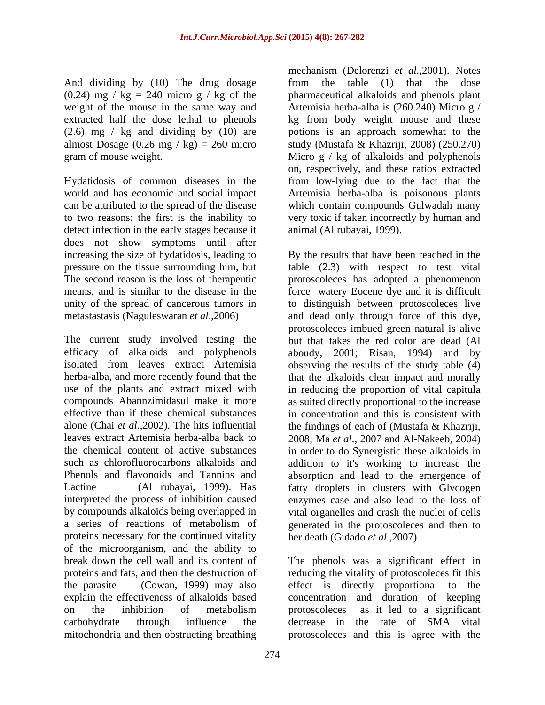And dividing by (10) The drug dosage from the table (1) that the dose (0.24) mg /  $kg = 240$  micro g / kg of the

Hydatidosis of common diseases in the can be attributed to the spread of the disease detect infection in the early stages because it does not show symptoms until after

proteins necessary for the continued vitality of the microorganism, and the ability to break down the cell wall and its content of The phenols was a significant effect in proteins and fats, and then the destruction of reducing the vitality of protoscoleces fit this the parasite (Cowan, 1999) may also effect is directly proportional to the explain the effectiveness of alkaloids based on the inhibition of metabolism carbohydrate through influence the decrease in the rate of SMA vital mitochondria and then obstructing breathing

weight of the mouse in the same way and Artemisia herba-alba is (260.240) Micro g / extracted half the dose lethal to phenols kg from body weight mouse and these (2.6) mg / kg and dividing by (10) are potions is an approach somewhat to the almost Dosage (0.26 mg / kg) = 260 micro study (Mustafa & Khazriji, 2008) (250.270) gram of mouse weight. Micro g / kg of alkaloids and polyphenols world and has economic and social impact Artemisia herba-alba is poisonous plants to two reasons: the first is the inability to very toxic if taken incorrectly by human and mechanism (Delorenzi *et al.,*2001). Notes from the table  $(1)$  that the dose pharmaceutical alkaloids and phenols plant on, respectively, and these ratios extracted from low-lying due to the fact that the which contain compounds Gulwadah many animal (Al rubayai, 1999).

increasing the size of hydatidosis, leading to By the results that have been reached in the pressure on the tissue surrounding him, but table (2.3) with respect to test vital The second reason is the loss of therapeutic protoscoleces has adopted a phenomenon means, and is similar to the disease in the force watery Eocene dye and it is difficult unity of the spread of cancerous tumors in to distinguish between protoscoleces live metastastasis (Naguleswaran *et al*.,2006) and dead only through force of this dye, The current study involved testing the but that takes the red color are dead (Al efficacy of alkaloids and polyphenols aboudy, 2001; Risan, 1994) and by isolated from leaves extract Artemisia observing the results of the study table (4) herba-alba, and more recently found that the that the alkaloids clear impact and morally use of the plants and extract mixed with in reducing the proportion of vital capitula compounds Abannzimidasul make it more as suited directly proportional to the increase effective than if these chemical substances in concentration and this is consistent with alone (Chai *et al.,*2002). The hits influential the findings of each of (Mustafa & Khazriji, leaves extract Artemisia herba-alba back to 2008; Ma *et al*., 2007 and Al-Nakeeb, 2004) the chemical content of active substances in order to do Synergistic these alkaloids in such as chlorofluorocarbons alkaloids and addition to it's working to increase the Phenols and flavonoids and Tannins and absorption and lead to the emergence of Lactine (Al rubayai, 1999). Has fatty droplets in clusters with Glycogen interpreted the process of inhibition caused enzymes case and also lead to the loss of by compounds alkaloids being overlapped in vital organelles and crash the nuclei of cells a series of reactions of metabolism of generated in the protoscoleces and then to protoscoleces imbued green natural is alive her death (Gidado *et al.,*2007)

> effect is directly proportional to the concentration and duration of keeping protoscoleces as it led to a significant protoscoleces and this is agree with the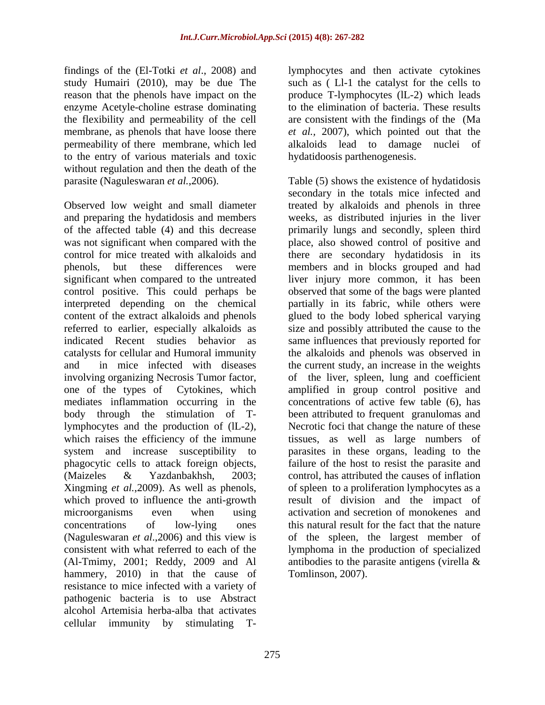reason that the phenols have impact on the the flexibility and permeability of the cell to the entry of various materials and toxic without regulation and then the death of the parasite (Naguleswaran  $et al., 2006$ ).

control positive. This could perhaps be hammery, 2010) in that the cause of resistance to mice infected with a variety of pathogenic bacteria is to use Abstract alcohol Artemisia herba-alba that activates cellular immunity by stimulating T-

findings of the (El-Totki *et al*., 2008) and lymphocytes and then activate cytokines study Humairi (2010), may be due The such as ( Ll-1 the catalyst for the cells to enzyme Acetyle-choline estrase dominating to the elimination of bacteria. These results membrane, as phenols that have loose there *et al.,* 2007), which pointed out that the permeability of there membrane, which led alkaloids lead to damage nuclei of produce T-lymphocytes (lL-2) which leads are consistent with the findings of the (Ma hydatidoosis parthenogenesis.

parasite (Naguleswaran *et al.*,2006). Table (5) shows the existence of hydatidosis Observed low weight and small diameter treated by alkaloids and phenols in three and preparing the hydatidosis and members weeks, as distributed injuries in the liver of the affected table (4) and this decrease primarily lungs and secondly, spleen third was not significant when compared with the place, also showed control of positive and control for mice treated with alkaloids and there are secondary hydatidosis in its phenols, but these differences were members and in blocks grouped and had significant when compared to the untreated liver injury more common, it has been interpreted depending on the chemical partially in its fabric, while others were content of the extract alkaloids and phenols glued to the body lobed spherical varying referred to earlier, especially alkaloids as size and possibly attributed the cause to the indicated Recent studies behavior as same influences that previously reported for catalysts for cellular and Humoral immunity the alkaloids and phenols was observed in and in mice infected with diseases the current study, an increase in the weights involving organizing Necrosis Tumor factor, of the liver, spleen, lung and coefficient one of the types of Cytokines, which amplified in group control positive and mediates inflammation occurring in the concentrations of active few table (6), has body through the stimulation of T-been attributed to frequent granulomas and lymphocytes and the production of (lL-2), Necrotic foci that change the nature of these which raises the efficiency of the immune tissues, as well as large numbers of system and increase susceptibility to parasites in these organs, leading to the phagocytic cells to attack foreign objects, failure of the host to resist the parasite and (Maizeles & Yazdanbakhsh, 2003; control, has attributed the causes of inflation Xingming *et al.*,2009). As well as phenols, of spleen to a proliferation lymphocytes as a which proved to influence the anti-growth result of division and the impact of microorganisms even when using activation and secretion of monokenes and concentrations of low-lying ones this natural result for the fact that the nature (Naguleswaran *et al*.,2006) and this view is of the spleen, the largest member of consistent with what referred to each of the lymphoma in the production of specialized (Al-Tmimy, 2001; Reddy, 2009 and Al antibodies to the parasite antigens (virella & secondary in the totals mice infected and observed that some of the bags were planted Tomlinson, 2007).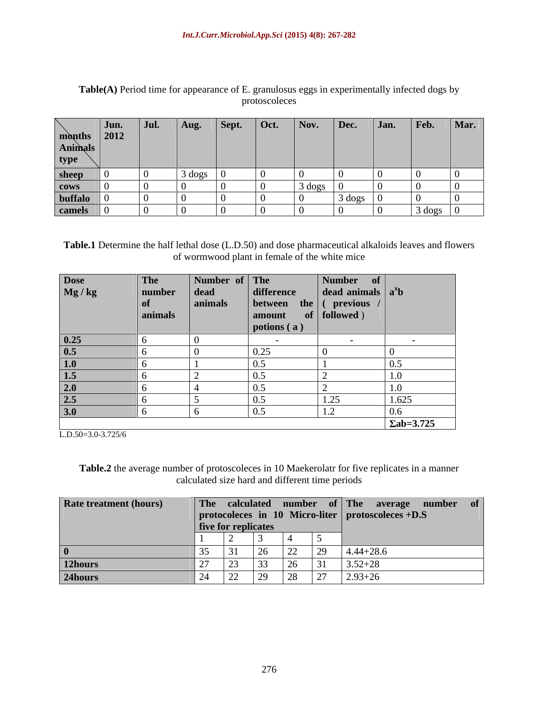Table(A) Period time for appearance of E. granulosus eggs in experimentally infected dogs by<br>protoscoleces protoscoleces

**Table.1** Determine the half lethal dose (L.D.50) and dose pharmaceutical alkaloids leaves and flowers of wormwood plant in female of the white mice

|                                        | The     | Number of The |                                          | Number of                   |                   |
|----------------------------------------|---------|---------------|------------------------------------------|-----------------------------|-------------------|
| Dose<br>Mg / kg                        | number  | $\vert$ dead  | difference                               | $\int$ dead animals $a^x b$ |                   |
|                                        | of      | animals       | $\vert$ between the $\vert$ ( previous / |                             |                   |
|                                        | animals |               | amount                                   | $\bullet$ of   followed )   |                   |
|                                        |         |               | potions (a)                              |                             |                   |
|                                        |         |               |                                          |                             |                   |
| $\frac{0.25}{0.5}$                     |         |               | 0.25                                     |                             |                   |
|                                        |         |               | 0.5                                      |                             | 0.5               |
|                                        |         |               | 0.5                                      |                             | $1 \Omega$<br>1.U |
|                                        |         |               | 0.5                                      |                             |                   |
| $\frac{1.0}{1.5}$<br>$\frac{2.0}{2.5}$ |         |               | 0.5                                      | 1.25                        | 1.625             |
| 3.0                                    |         |               | (0, 1)                                   | $\perp$ .                   | 0.6               |
|                                        |         |               |                                          |                             | $\sum ab = 3.725$ |

L.D.50=3.0-3.725/6

**Table.2** the average number of protoscoleces in 10 Maekerolatr for five replicates in a manner calculated size hard and different time periods

| <b>Rate treatment (hours)</b> |                            |                                          |                |                                                   |               | The calculated number of The average number of |
|-------------------------------|----------------------------|------------------------------------------|----------------|---------------------------------------------------|---------------|------------------------------------------------|
|                               |                            |                                          |                | protocoleces in 10 Micro-liter protoscoleces +D.S |               |                                                |
|                               | <b>five for replicates</b> |                                          |                |                                                   |               |                                                |
|                               |                            |                                          |                |                                                   |               |                                                |
|                               |                            | ۷O                                       | 22<br>∠∠       |                                                   | $4.44 + 28.6$ |                                                |
| 12hours                       | $\sim$ $\sim$              | 33                                       | Z <sub>0</sub> | 31                                                | $3.52 + 28$   |                                                |
| 24hours                       | ∠∠                         | $20^{\circ}$<br>$\overline{\phantom{0}}$ | $\angle$ O     | $\sim$                                            | $2.93 + 26$   |                                                |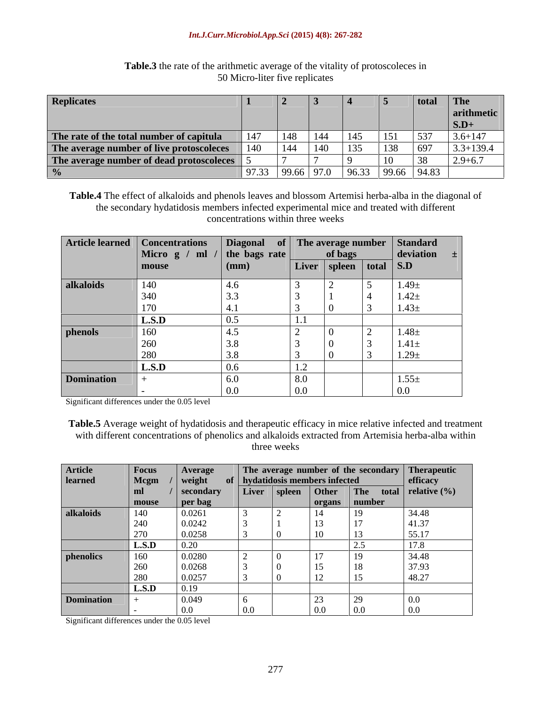### *Int.J.Curr.Microbiol.App.Sci* **(2015) 4(8): 267-282**

| <b>Replicates</b>                            |       |           |  |                                      | $\parallel$ The |
|----------------------------------------------|-------|-----------|--|--------------------------------------|-----------------|
|                                              |       |           |  |                                      |                 |
|                                              |       |           |  |                                      | 1 S.D+          |
| The rate of the total number of capitula 147 |       | $148$ 144 |  |                                      | $3.6 + 147$     |
| The average number of live protoscoleces 140 |       |           |  |                                      | $3 + 139.4$     |
| The average number of dead protoscoleces 5   |       |           |  |                                      | $2.9 + 6.7$     |
|                                              | 97.33 |           |  | $\vert$ 99.66 97.0 96.33 99.66 94.83 |                 |

### **Table.3** the rate of the arithmetic average of the vitality of protoscoleces in 50 Micro-liter five replicates

**Table.4** The effect of alkaloids and phenols leaves and blossom Artemisi herba-alba in the diagonal of the secondary hydatidosis members infected experimental mice and treated with different concentrations within three weeks

|                   | Article learned Concentrations Diagonal of The average number Standard<br>Micro g / ml / the bags rate of bags deviation |              |                   |                              |                    |
|-------------------|--------------------------------------------------------------------------------------------------------------------------|--------------|-------------------|------------------------------|--------------------|
|                   |                                                                                                                          |              |                   |                              |                    |
|                   |                                                                                                                          | $\mathbf{m}$ |                   | Liver   spleen   total   S.D |                    |
| alkaloids         | 140                                                                                                                      |              |                   |                              | $1.49\pm$          |
|                   |                                                                                                                          |              |                   |                              | $1.42 \pm$         |
|                   |                                                                                                                          |              |                   |                              | $1.43\pm$          |
|                   | L.S.D                                                                                                                    |              |                   |                              |                    |
| phenols           | 160                                                                                                                      | $\sqrt{2}$   |                   |                              | $1.48\pm$          |
|                   | 260                                                                                                                      |              |                   |                              | $\vert$ 1.41 $\pm$ |
|                   |                                                                                                                          |              |                   |                              | $1.29 \pm$         |
|                   | $\vert$ L.S.D                                                                                                            |              |                   |                              |                    |
| <b>Domination</b> |                                                                                                                          |              | $\Omega$ $\Omega$ |                              | $1.55\pm$          |
|                   |                                                                                                                          |              |                   |                              | 0.0                |

Significant differences under the 0.05 level

**Table.5** Average weight of hydatidosis and therapeutic efficacy in mice relative infected and treatment with different concentrations of phenolics and alkaloids extracted from Artemisia herba-alba within<br>three weeks three weeks

| <b>Article</b>    | <b>Focus</b> | $\overline{A}$ verage |         |                                 |                |                 | The average number of the secondary Therapeutic |
|-------------------|--------------|-----------------------|---------|---------------------------------|----------------|-----------------|-------------------------------------------------|
| learned           | <b>Mcgm</b>  | weight                |         | of hydatidosis members infected |                |                 | efficacy                                        |
|                   |              | secondary             |         |                                 |                |                 | Liver spleen Other The total relative (%)       |
|                   | mouse        | per bag               |         |                                 |                | organs   number |                                                 |
| alkaloids         | 140          | 0.0261                |         |                                 |                |                 | 34.48                                           |
|                   | 240          | 0.0242                |         |                                 |                |                 | 41.37                                           |
|                   | 270          | 0.0258                |         | - 0                             |                |                 | 55.17                                           |
|                   | L.S.D        | 0.20                  |         |                                 |                |                 | 17.8                                            |
| phenolics         | 160          | 0.0280                |         |                                 |                |                 | 34.48                                           |
|                   |              | 0.0268                |         |                                 |                |                 | 37.93                                           |
|                   | 260          |                       |         |                                 |                | 18              |                                                 |
|                   | 280          | 0.0257                |         |                                 | $\overline{ }$ |                 | 48.27                                           |
|                   | L.S.D        |                       |         |                                 |                |                 |                                                 |
| <b>Domination</b> |              | 0.049                 |         |                                 | $\sim$ $\sim$  | خطا             | 0.0                                             |
|                   |              | 0.0                   | $0.0\,$ |                                 | 0.0            | 0.0             | 0.0                                             |

Significant differences under the 0.05 level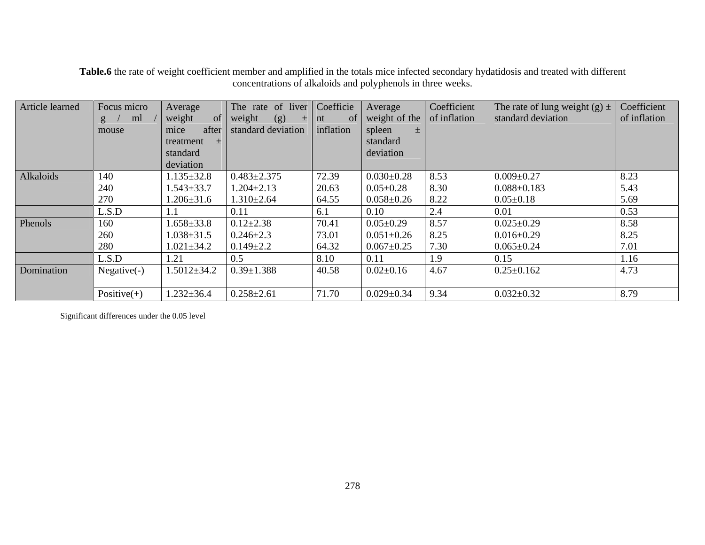| Article learned | Focus micro      | Average                       | The rate of liver Coefficie Average |           |                               | Coefficient | The rate of lung weight $(g) \pm$ Coefficient |                     |
|-----------------|------------------|-------------------------------|-------------------------------------|-----------|-------------------------------|-------------|-----------------------------------------------|---------------------|
|                 | $\sigma$ /<br>ml | $\blacksquare$ weight<br>- of | weight<br>(g)                       | $\pm$ nt  | of weight of the of inflation |             | standard deviation                            | $\int$ of inflation |
|                 | mouse            | nice                          | after standard deviation            | inflation | spleen                        |             |                                               |                     |
|                 |                  | treatment                     |                                     |           | standard                      |             |                                               |                     |
|                 |                  | standard                      |                                     |           | deviation                     |             |                                               |                     |
|                 |                  | deviation                     |                                     |           |                               |             |                                               |                     |
| Alkaloids       | 140              | $1.135 \pm 32.8$              | $0.483 \pm 2.375$                   | 72.39     | $0.030 \pm 0.28$              | 8.53        | $0.009 \pm 0.27$                              | 8.23                |
|                 | 240              | $1.543 \pm 33.7$              | $1.204 \pm 2.13$                    | 20.63     | $0.05 \pm 0.28$               | 8.30        | $0.088 \pm 0.183$                             | 5.43                |
|                 | 270              | $1.206 \pm 31.6$              | $.310 \pm 2.64$                     | 64.55     | $0.058 \pm 0.26$              | 8.22        | $0.05 \pm 0.18$                               | 5.69                |
|                 | L.S.D            |                               | 0.11                                | 6.1       | 0.10                          | 2.4         | 0.01                                          | 0.53                |
| Phenols         | 160              | $1.658 \pm 33.8$              | $0.12{\pm}2.38$                     | 70.41     | $0.05 \pm 0.29$               | 8.57        | $0.025 \pm 0.29$                              | 8.58                |
|                 | 260              | $1.038 \pm 31.5$              | $0.246 \pm 2.3$                     | 73.01     | $0.051 \pm 0.26$              | 8.25        | $0.016 \pm 0.29$                              | 8.25                |
|                 | 280              | $1.021 \pm 34.2$              | $0.149 \pm 2.2$                     | 64.32     | $0.067 \pm 0.25$              | 7.30        | $0.065 \pm 0.24$                              | 7.01                |
|                 | L.S.D            |                               | 0.5                                 | 8.10      | 0.11                          | 1.9         | 0.15                                          | 1.16                |
| Domination      | Negative(-       | $1.5012 \pm 34.2$             | $0.39 \pm 1.388$                    | 40.58     | $0.02{\pm}0.16$               | 4.67        | $0.25 \pm 0.162$                              | 4.73                |
|                 |                  |                               |                                     |           |                               |             |                                               |                     |
|                 | Positive $(+)$   | $1.232 \pm 36.4$              | $0.258 \pm 2.61$                    | 71.70     | $0.029 \pm 0.34$              | 9.34        | $0.032 \pm 0.32$                              | 8.79                |

**Table.6** the rate of weight coefficient member and amplified in the totals mice infected secondary hydatidosis and treated with different concentrations of alkaloids and polyphenols in three weeks.

Significant differences under the 0.05 level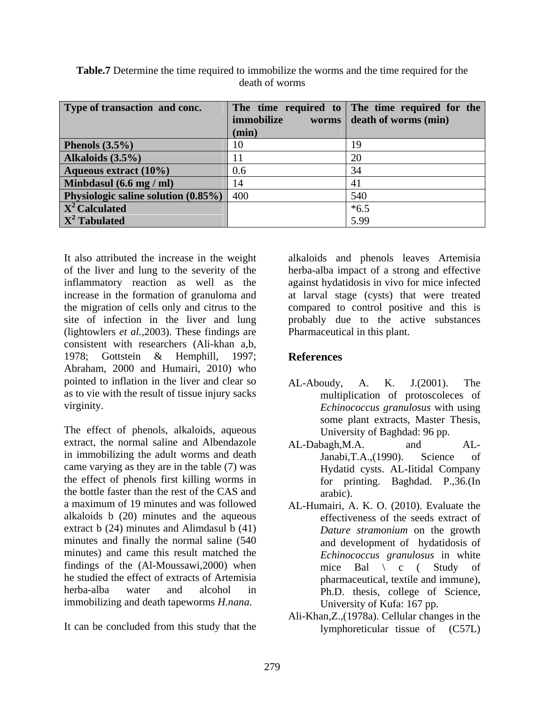| Type of transaction and conc.                  |              | The time required to The time required for the |
|------------------------------------------------|--------------|------------------------------------------------|
|                                                | immobilize   | worms death of worms (min)                     |
|                                                | $\mid$ (min) |                                                |
| Phenols $(3.5\%)$                              |              |                                                |
| Alkaloids (3.5%)                               |              |                                                |
| <b>Aqueous extract (10%)</b>                   |              |                                                |
| Minbdasul (6.6 mg / ml)                        |              |                                                |
| <b>Physiologic saline solution (0.85%)</b> 400 |              |                                                |
| $\mathbf{X}^2$ Calculated                      |              | *6.5                                           |
| $\mathbf{X}^2$ Tabulated                       |              | 5.99                                           |

**Table.7** Determine the time required to immobilize the worms and the time required for the death of worms

It also attributed the increase in the weight alkaloids and phenols leaves Artemisia of the liver and lung to the severity of the herba-alba impact of a strong and effective inflammatory reaction as well as the against hydatidosis in vivo for mice infected increase in the formation of granuloma and at larval stage (cysts) that were treated the migration of cells only and citrus to the compared to control positive and this is site of infection in the liver and lung probably due to the active substances (lightowlers *et al.,*2003). These findings are consistent with researchers (Ali-khan a,b, 1978; Gottstein & Hemphill, 1997; **References** Abraham, 2000 and Humairi, 2010) who pointed to inflation in the liver and clear so  $AL-Aboudy$ , A. K. J.(2001). The as to vie with the result of tissue injury sacks

The effect of phenols, alkaloids, aqueous University of Baghdad: 96 pp. extract, the normal saline and Albendazole AL-Dabagh, M.A. and ALin immobilizing the adult worms and death Janabi, T.A., (1990). Science of came varying as they are in the table (7) was the effect of phenols first killing worms in the bottle faster than the rest of the CAS and arabic). a maximum of 19 minutes and was followed alkaloids  $\mathfrak b$  (20) minutes and the aqueous extract b (24) minutes and Alimdasul b (41) minutes and finally the normal saline (540 minutes) and came this result matched the findings of the  $(AI-Moussawi, 2000)$  when mice Bal  $\check{C}$  c  $(AI-Moussawi, 2000)$  when he studied the effect of extracts of Artemisia pharmaceutical, textile and immune), herba-alba water and alcohol in Ph.D. thesis, college of Science, immobilizing and death tapeworms *H.nana*.

It can be concluded from this study that the

Pharmaceutical in this plant.

## **References**

- virginity. *Echinococcus granulosus* with using AL-Aboudy, A. K. J.(2001). The multiplication of protoscoleces of some plant extracts, Master Thesis, University of Baghdad: 96 pp.
	- AL-Dabagh, M.A. and AL-Janabi,T.A.,(1990). Science of Hydatid cysts. AL-Iitidal Company for printing. Baghdad. P.,36.(In arabic).
	- AL-Humairi, A. K. O. (2010). Evaluate the effectiveness of the seeds extract of *Dature stramonium* on the growth and development of hydatidosis of *Echinococcus granulosus* in white mice Bal  $\setminus$  c (Study of University of Kufa: 167 pp.
	- Ali-Khan,Z.,(1978a). Cellular changes in the lymphoreticular tissue of (C57L)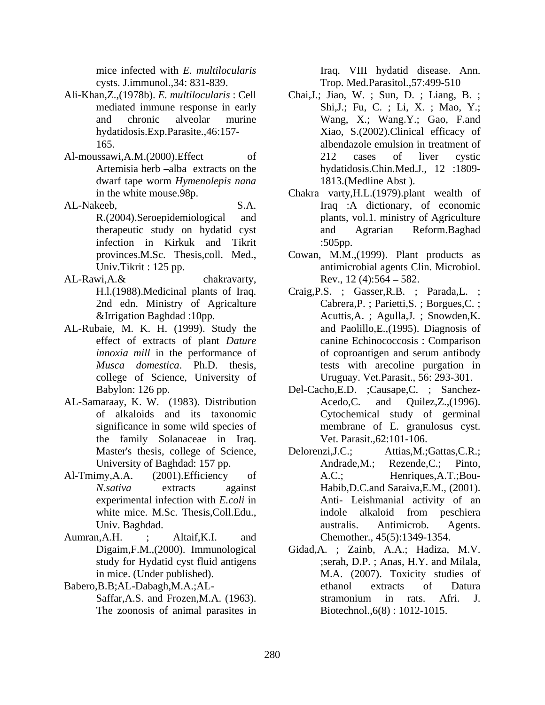cysts. J.immunol.,34: 831-839. Trop. Med.Parasitol.,57:499-510

- Ali-Khan,Z.,(1978b). *E. multilocularis* : Cell
- 
- infection in Kirkuk and Tikrit
- $AL-Rawi, A.\&$  chakravarty,  $Rev., 12(4):564-582.$
- AL-Rubaie, M. K. H. (1999). Study the effect of extracts of plant *Dature*
- the family Solanaceae in Iraq.<br>Master's thesis, college of Science, Delorenzi,J.C.; Attias,M.;Gattas,C.R.;
- 
- Aumran,A.H. ; Altaif,K.I. and Chemother., 45(5):1349-1354.
- The zoonosis of animal parasites in

mice infected with *E. multilocularis* Iraq. VIII hydatid disease. Ann.

- mediated immune response in early Shi,J.; Fu, C. ; Li, X. ; Mao, Y.; and chronic alveolar murine Wang, X.; Wang.Y.; Gao, F.and hydatidosis.Exp.Parasite.,46:157- Xiao, S.(2002).Clinical efficacy of 165. albendazole emulsion in treatment of Al-moussawi, A.M. (2000). Effect of 212 cases of liver cystic Artemisia herb –alba extracts on the hydatidosis.Chin.Med.J., 12 :1809dwarf tape worm *Hymenolepis nana* Chai,J.; Jiao, W. ; Sun, D. ; Liang, B. ; 212 cases of liver cystic 1813.(Medline Abst ).
- in the white mouse.98p. Chakra varty,H.L.(1979).plant wealth of AL-Nakeeb, S.A. Iraq :A dictionary, of economic R.(2004).Seroepidemiological and plants, vol.1. ministry of Agriculture therapeutic study on hydatid cyst and Agrarian Reform.Baghad :505pp.
	- provinces.M.Sc. Thesis,coll. Med., Cowan, M.M.,(1999). Plant products as Univ.Tikrit : 125 pp. <br>
	Cowan, M.M.,(1999). Plant products as antimicrobial agents Clin. Microbiol. antimicrobial agents Clin. Microbiol. Rev.,  $12(4):564 - 582$ .
	- H.l.(1988).Medicinal plants of Iraq. Craig, P.S. ; Gasser, R.B. ; Parada, L. ; 2nd edn. Ministry of Agricalture Cabrera,P. ; Parietti,S. ; Borgues,C. ; &Irrigation Baghdad :10pp. Acuttis,A. ; Agulla,J. ; Snowden,K. *innoxia mill* in the performance of observed by of coproantigen and serum antibody *Musca domestica*. Ph.D. thesis, tests with arecoline purgation in college of Science, University of Uruguay. Vet.Parasit., 56: 293-301. and Paolillo,E.,(1995). Diagnosis of canine Echinococcosis : Comparison of coproantigen and serum antibody tests with arecoline purgation in Uruguay. Vet.Parasit., 56: 293-301.
- Babylon: 126 pp. Del-Cacho,E.D. ;Causape,C. ; Sanchez- AL-Samaraay, K. W. (1983). Distribution Acedo, C. and Ouilez, Z., (1996). of alkaloids and its taxonomic Cytochemical study of germinal significance in some wild species of membrane of E. granulosus cyst. Acedo,C. and Quilez, Z., (1996). Vet. Parasit.,62:101-106.
- University of Baghdad: 157 pp. Andrade,M.; Rezende,C.; Pinto, Al-Tmimy,A.A. (2001).Efficiency of A.C.; Henriques,A.T.;Bou-*N.sativa* extracts against Habib,D.C.and Saraiva,E.M., (2001). experimental infection with *E.coli* in Anti- Leishmanial activity of an white mice. M.Sc. Thesis,Coll.Edu., Univ. Baghdad. Delorenzi,J.C.; Attias,M.;Gattas,C.R.; A.C.; Henriques,A.T.;Bou indole alkaloid from peschiera australis. Antimicrob. Agents.
- Digaim,F.M.,(2000). Immunological Gidad,A. ; Zainb, A.A.; Hadiza, M.V. study for Hydatid cyst fluid antigens ;serah, D.P. ; Anas, H.Y. and Milala, in mice. (Under published). M.A. (2007). Toxicity studies of Babero,B.B;AL-Dabagh,M.A.;AL- Saffar, A.S. and Frozen, M.A. (1963). Stramonium in rats. Afri. J. ethanol extracts of Datura stramonium in rats. Afri. J. Biotechnol.,6(8) : 1012-1015.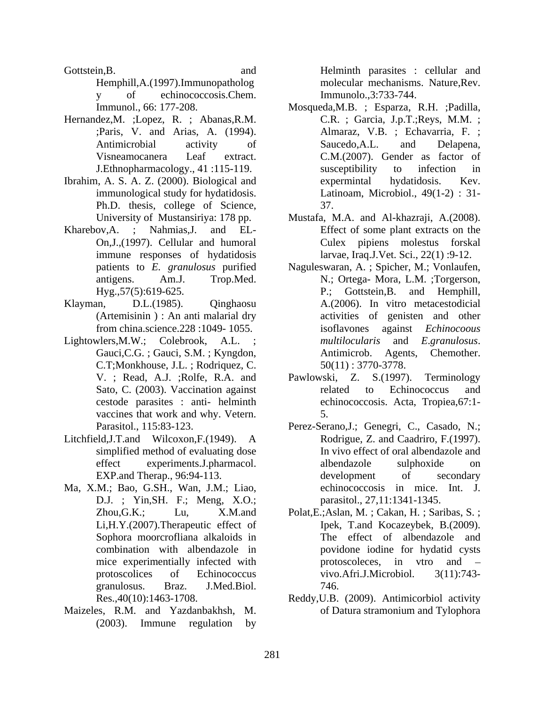- Hemphill,A.(1997).Immunopatholog y of echinococcosis.Chem. Immunolo.,3:733-744.
- Hernandez,M. ;Lopez, R. ; Abanas,R.M.
- Ibrahim, A. S. A. Z. (2000). Biological and expermintal hydatidosis. Kev. Ph.D. thesis, college of Science, 37.
- immune responses of hydatidosis
- from china.science.228 :1049- 1055.
- Lightowlers, M.W.; Colebrook, A.L. ; multilocularis and Egranulosus. C.T; Monkhouse, J.L.; Rodriquez, C. vaccines that work and why. Vetern. 5.
- Litchfield,J.T.and Wilcoxon,F.(1949). A simplified method of evaluating dose
- Ma, X.M.; Bao, G.SH., Wan, J.M.; Liao, D.J. ; Yin,SH. F.; Meng, X.O.; Li,H.Y.(2007).Therapeutic effect of granulosus. Braz. J.Med.Biol.
- Maizeles, R.M. and Yazdanbakhsh, M. (2003). Immune regulation by

Gottstein,B. and Helminth parasites : cellular and molecular mechanisms. Nature,Rev. Immunolo.,3:733-744.

- Immunol., 66: 177-208. Mosqueda,M.B. ; Esparza, R.H. ;Padilla, ;Paris, V. and Arias, A. (1994). Almaraz, V.B. ; Echavarria, F. ; Antimicrobial activity of Saucedo, A.L. and Delapena, Visneamocanera Leaf extract. C.M.(2007). Gender as factor of J.Ethnopharmacology., 41 :115-119. immunological study for hydatidosis. Latinoam, Microbiol., 49(1-2) : 31- C.R. ; Garcia, J.p.T.;Reys, M.M. ; Saucedo,A.L. and Delapena, susceptibility to infection in expermintal hydatidosis. Kev. 37.
- University of Mustansiriya: 178 pp. Mustafa, M.A. and Al-khazraji, A.(2008).<br>Kharebov,A. ; Nahmias,J. and EL-<br>Effect of some plant extracts on the On,J.,(1997). Cellular and humoral Culex pipiens molestus forskal Mustafa, M.A. and Al-khazraji, A.(2008). Effect of some plant extracts on the larvae, Iraq.J.Vet. Sci., 22(1) :9-12.
- patients to *E. granulosus* purified patients to *E. granulosus* purified Maguleswaran, A. ; Spicher, M.; Vonlaufen,<br>Am.J. Trop.Med. N.; Ortega- Mora, L.M. ;Torgerson, Hyg.,57(5):619-625. P.; Gottstein,B. and Hemphill, Klayman, D.L.(1985). Qinghaosu A.(2006). In vitro metacestodicial (Artemisinin ) : An anti malarial dry activities of genisten and other Gauci, C.G. ; Gauci, S.M. ; Kyngdon, Antimicrob. Agents, Chemother. against *Echinocoous multilocularis* and *E*.*granulosus*. Antimicrob. Agents, Chemother. 50(11) : 3770-3778.
	- V. ; Read, A.J. ; Rolfe, R.A. and Pawlowski, Z. S. (1997). Terminology Sato, C. (2003). Vaccination against related to Echinococcus and cestode parasites : anti- helminth echinococcosis. Acta, Tropiea,67:1- Pawlowski, Z. S.(1997). Terminology related to Echinococcus and 5.
	- Parasitol., 115:83-123. Perez-Serano,J.; Genegri, C., Casado, N.; effect experiments.J.pharmacol. albendazole sulphoxide on EXP.and Therap., 96:94-113. development of secondary Rodrigue, Z. and Caadriro, F.(1997). In vivo effect of oral albendazole and albendazole sulphoxide on development of secondary echinococcosis in mice. Int. J. parasitol., 27,11:1341-1345.
	- Zhou,G.K.; Lu, X.M.and Polat,E.;Aslan, M. ; Cakan, H. ; Saribas, S. ; Sophora moorcrofliana alkaloids in The effect of albendazole and combination with albendazole in povidone iodine for hydatid cysts mice experimentially infected with protoscoleces, in vtro and  $$ protoscolices of Echinococcus vivo.Afri.J.Microbiol. 3(11):743-Ipek, T.and Kocazeybek, B.(2009). protoscoleces, in vtro and vivo.Afri.J.Microbiol. 3(11):743- 746.
	- Res.,40(10):1463-1708. Reddy,U.B. (2009). Antimicorbiol activity of Datura stramonium and Tylophora